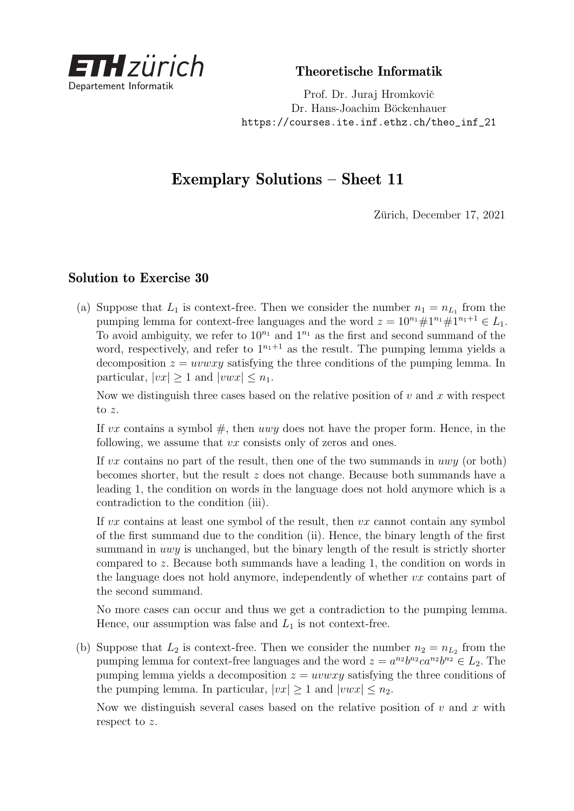

Theoretische Informatik

Prof. Dr. Juraj Hromkovič Dr. Hans-Joachim Böckenhauer [https://courses.ite.inf.ethz.ch/theo\\_inf\\_21](https://courses.ite.inf.ethz.ch/theo_inf_21)

## Exemplary Solutions – Sheet 11

Zürich, December 17, 2021

## Solution to Exercise 30

(a) Suppose that  $L_1$  is context-free. Then we consider the number  $n_1 = n_{L_1}$  from the pumping lemma for context-free languages and the word  $z = 10^{n_1} \# 1^{n_1+1} \# 1^{n_1+1} \in L_1$ . To avoid ambiguity, we refer to  $10^{n_1}$  and  $1^{n_1}$  as the first and second summand of the word, respectively, and refer to  $1^{n_1+1}$  as the result. The pumping lemma yields a decomposition  $z = uvwxy$  satisfying the three conditions of the pumping lemma. In particular,  $|vx| \geq 1$  and  $|vwx| \leq n_1$ .

Now we distinguish three cases based on the relative position of *v* and *x* with respect to *z*.

If  $vx$  contains a symbol  $#$ , then  $uwy$  does not have the proper form. Hence, in the following, we assume that *vx* consists only of zeros and ones.

If *vx* contains no part of the result, then one of the two summands in *uwy* (or both) becomes shorter, but the result *z* does not change. Because both summands have a leading 1, the condition on words in the language does not hold anymore which is a contradiction to the condition (iii).

If *vx* contains at least one symbol of the result, then *vx* cannot contain any symbol of the first summand due to the condition (ii). Hence, the binary length of the first summand in *uwy* is unchanged, but the binary length of the result is strictly shorter compared to *z*. Because both summands have a leading 1, the condition on words in the language does not hold anymore, independently of whether *vx* contains part of the second summand.

No more cases can occur and thus we get a contradiction to the pumping lemma. Hence, our assumption was false and *L*<sup>1</sup> is not context-free.

(b) Suppose that  $L_2$  is context-free. Then we consider the number  $n_2 = n_{L_2}$  from the pumping lemma for context-free languages and the word  $z = a^{n_2}b^{n_2}ca^{n_2}b^{n_2} \in L_2$ . The pumping lemma yields a decomposition  $z = uvwxy$  satisfying the three conditions of the pumping lemma. In particular,  $|vx| > 1$  and  $|vwx| < n_2$ .

Now we distinguish several cases based on the relative position of *v* and *x* with respect to *z*.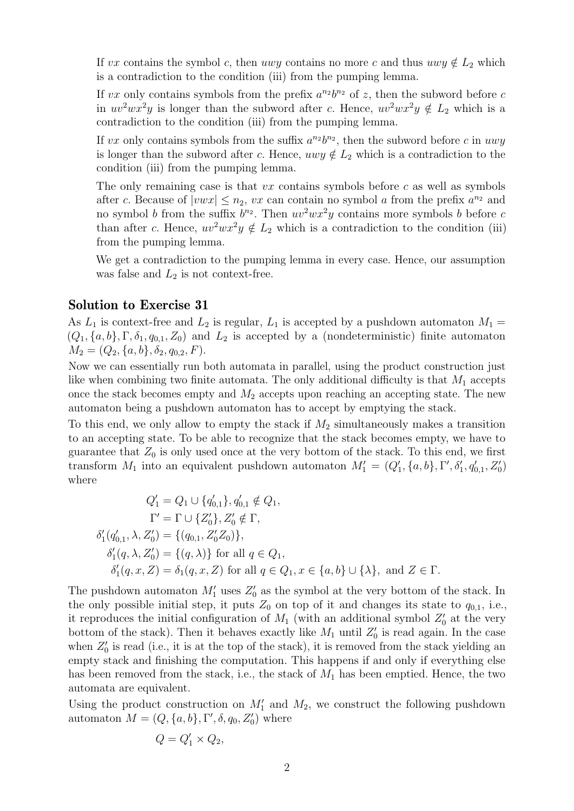If *vx* contains the symbol *c*, then *uwy* contains no more *c* and thus  $uwy \notin L_2$  which is a contradiction to the condition (iii) from the pumping lemma.

If *vx* only contains symbols from the prefix  $a^{n_2}b^{n_2}$  of *z*, then the subword before *c* in  $uv^2wx^2y$  is longer than the subword after *c*. Hence,  $uv^2wx^2y \notin L_2$  which is a contradiction to the condition (iii) from the pumping lemma.

If *vx* only contains symbols from the suffix  $a^{n_2}b^{n_2}$ , then the subword before *c* in *uwy* is longer than the subword after *c*. Hence,  $uvw \notin L_2$  which is a contradiction to the condition (iii) from the pumping lemma.

The only remaining case is that *vx* contains symbols before *c* as well as symbols after *c*. Because of  $|vwx| \leq n_2$ , *vx* can contain no symbol *a* from the prefix  $a^{n_2}$  and no symbol *b* from the suffix  $b^{n_2}$ . Then  $uv^2wx^2y$  contains more symbols *b* before *c* than after *c*. Hence,  $uv^2wx^2y \notin L_2$  which is a contradiction to the condition (iii) from the pumping lemma.

We get a contradiction to the pumping lemma in every case. Hence, our assumption was false and  $L_2$  is not context-free.

## Solution to Exercise 31

As  $L_1$  is context-free and  $L_2$  is regular,  $L_1$  is accepted by a pushdown automaton  $M_1 =$  $(Q_1, \{a, b\}, \Gamma, \delta_1, q_{0,1}, Z_0)$  and  $L_2$  is accepted by a (nondeterministic) finite automaton  $M_2 = (Q_2, \{a, b\}, \delta_2, q_{0,2}, F).$ 

Now we can essentially run both automata in parallel, using the product construction just like when combining two finite automata. The only additional difficulty is that  $M_1$  accepts once the stack becomes empty and  $M_2$  accepts upon reaching an accepting state. The new automaton being a pushdown automaton has to accept by emptying the stack.

To this end, we only allow to empty the stack if  $M_2$  simultaneously makes a transition to an accepting state. To be able to recognize that the stack becomes empty, we have to guarantee that  $Z_0$  is only used once at the very bottom of the stack. To this end, we first transform  $M_1$  into an equivalent pushdown automaton  $M'_1 = (Q'_1, \{a, b\}, \Gamma', \delta'_1, q'_{0,1}, Z'_0)$ where

$$
Q'_1 = Q_1 \cup \{q'_{0,1}\}, q'_{0,1} \notin Q_1,
$$
  
\n
$$
\Gamma' = \Gamma \cup \{Z'_0\}, Z'_0 \notin \Gamma,
$$
  
\n
$$
\delta'_1(q'_{0,1}, \lambda, Z'_0) = \{(q_{0,1}, Z'_0 Z_0)\},
$$
  
\n
$$
\delta'_1(q, \lambda, Z'_0) = \{(q, \lambda)\}\n\text{ for all } q \in Q_1,
$$
  
\n
$$
\delta'_1(q, x, Z) = \delta_1(q, x, Z) \text{ for all } q \in Q_1, x \in \{a, b\} \cup \{\lambda\}, \text{ and } Z \in \Gamma.
$$

The pushdown automaton  $M'_1$  uses  $Z'_0$  as the symbol at the very bottom of the stack. In the only possible initial step, it puts  $Z_0$  on top of it and changes its state to  $q_{0,1}$ , i.e., it reproduces the initial configuration of  $M_1$  (with an additional symbol  $Z'_0$  at the very bottom of the stack). Then it behaves exactly like  $M_1$  until  $Z'_0$  is read again. In the case when  $Z'_{0}$  is read (i.e., it is at the top of the stack), it is removed from the stack yielding an empty stack and finishing the computation. This happens if and only if everything else has been removed from the stack, i.e., the stack of  $M_1$  has been emptied. Hence, the two automata are equivalent.

Using the product construction on  $M'_1$  and  $M_2$ , we construct the following pushdown automaton  $M = (Q, \{a, b\}, \Gamma', \delta, q_0, Z'_0)$  where

$$
Q = Q_1' \times Q_2,
$$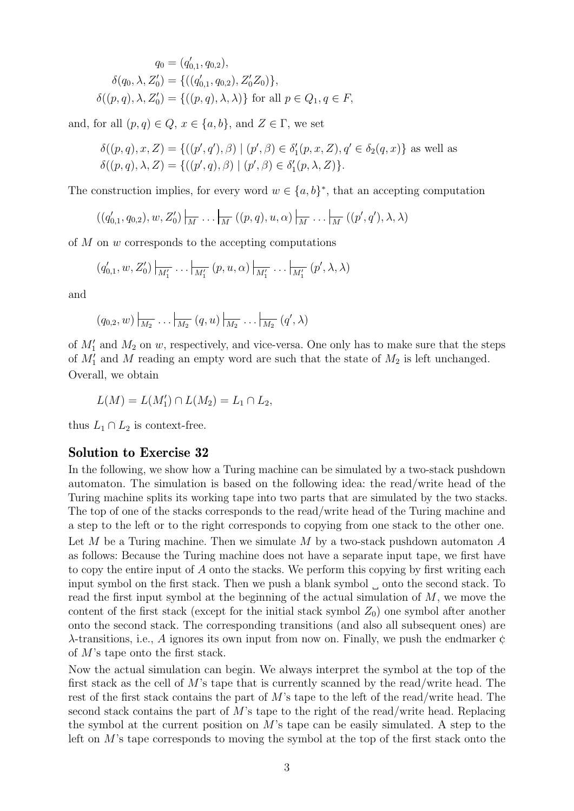$$
q_0 = (q'_{0,1}, q_{0,2}),
$$
  
\n
$$
\delta(q_0, \lambda, Z'_0) = \{((q'_{0,1}, q_{0,2}), Z'_0 Z_0)\},
$$
  
\n
$$
\delta((p, q), \lambda, Z'_0) = \{((p, q), \lambda, \lambda)\}\
$$
for all  $p \in Q_1, q \in F$ ,

and, for all  $(p, q) \in Q$ ,  $x \in \{a, b\}$ , and  $Z \in \Gamma$ , we set

$$
\delta((p,q), x, Z) = \{ ((p', q'), \beta) \mid (p', \beta) \in \delta'_1(p, x, Z), q' \in \delta_2(q, x) \} \text{ as well as}
$$

$$
\delta((p,q), \lambda, Z) = \{ ((p', q), \beta) \mid (p', \beta) \in \delta'_1(p, \lambda, Z) \}.
$$

The construction implies, for every word  $w \in \{a, b\}^*$ , that an accepting computation

$$
((q'_{0,1},q_{0,2}),w,Z'_0)\big|_{\overline{M}}\ldots\big|_{\overline{M}}((p,q),u,\alpha)\big|_{\overline{M}}\ldots\big|_{\overline{M}}((p',q'),\lambda,\lambda)
$$

of *M* on *w* corresponds to the accepting computations

$$
(q'_{0,1}, w, Z'_0) |_{M'_1} \dots |_{M'_1} (p, u, \alpha) |_{M'_1} \dots |_{M'_1} (p', \lambda, \lambda)
$$

and

$$
(q_{0,2}, w) \Big|_{\overline{M_2}} \dots \Big|_{\overline{M_2}} (q, u) \Big|_{\overline{M_2}} \dots \Big|_{\overline{M_2}} (q', \lambda)
$$

of  $M_1'$  and  $M_2$  on  $w$ , respectively, and vice-versa. One only has to make sure that the steps of  $M'_1$  and  $M$  reading an empty word are such that the state of  $M_2$  is left unchanged. Overall, we obtain

$$
L(M) = L(M'_1) \cap L(M_2) = L_1 \cap L_2,
$$

thus  $L_1 \cap L_2$  is context-free.

## Solution to Exercise 32

In the following, we show how a Turing machine can be simulated by a two-stack pushdown automaton. The simulation is based on the following idea: the read/write head of the Turing machine splits its working tape into two parts that are simulated by the two stacks. The top of one of the stacks corresponds to the read/write head of the Turing machine and a step to the left or to the right corresponds to copying from one stack to the other one. Let *M* be a Turing machine. Then we simulate *M* by a two-stack pushdown automaton *A* as follows: Because the Turing machine does not have a separate input tape, we first have to copy the entire input of *A* onto the stacks. We perform this copying by first writing each input symbol on the first stack. Then we push a blank symbol onto the second stack. To read the first input symbol at the beginning of the actual simulation of *M*, we move the content of the first stack (except for the initial stack symbol  $Z_0$ ) one symbol after another onto the second stack. The corresponding transitions (and also all subsequent ones) are *<sup>λ</sup>*-transitions, i.e., *<sup>A</sup>* ignores its own input from now on. Finally, we push the endmarker ¢ of *M*'s tape onto the first stack.

Now the actual simulation can begin. We always interpret the symbol at the top of the first stack as the cell of *M*'s tape that is currently scanned by the read/write head. The rest of the first stack contains the part of *M*'s tape to the left of the read/write head. The second stack contains the part of *M*'s tape to the right of the read/write head. Replacing the symbol at the current position on *M*'s tape can be easily simulated. A step to the left on *M*'s tape corresponds to moving the symbol at the top of the first stack onto the